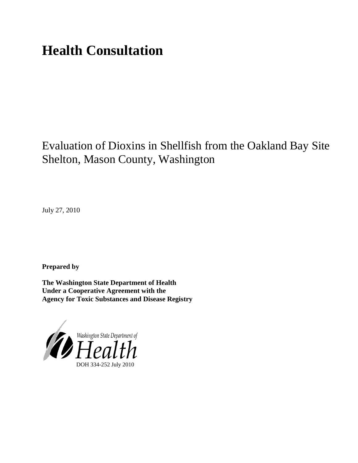# **Health Consultation**

# Evaluation of Dioxins in Shellfish from the Oakland Bay Site Shelton, Mason County, Washington

July 27, 2010

**Prepared by**

**The Washington State Department of Health Under a Cooperative Agreement with the Agency for Toxic Substances and Disease Registry**

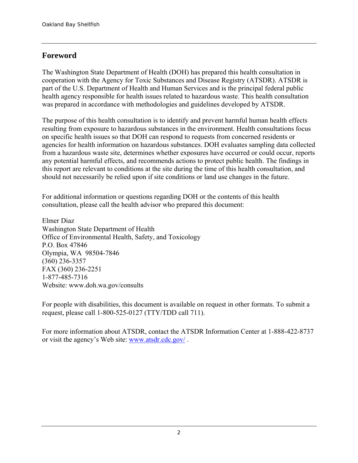## **Foreword**

The Washington State Department of Health (DOH) has prepared this health consultation in cooperation with the Agency for Toxic Substances and Disease Registry (ATSDR). ATSDR is part of the U.S. Department of Health and Human Services and is the principal federal public health agency responsible for health issues related to hazardous waste. This health consultation was prepared in accordance with methodologies and guidelines developed by ATSDR.

The purpose of this health consultation is to identify and prevent harmful human health effects resulting from exposure to hazardous substances in the environment. Health consultations focus on specific health issues so that DOH can respond to requests from concerned residents or agencies for health information on hazardous substances. DOH evaluates sampling data collected from a hazardous waste site, determines whether exposures have occurred or could occur, reports any potential harmful effects, and recommends actions to protect public health. The findings in this report are relevant to conditions at the site during the time of this health consultation, and should not necessarily be relied upon if site conditions or land use changes in the future.

For additional information or questions regarding DOH or the contents of this health consultation, please call the health advisor who prepared this document:

Elmer Diaz Washington State Department of Health Office of Environmental Health, Safety, and Toxicology P.O. Box 47846 Olympia, WA 98504-7846 (360) 236-3357 FAX (360) 236-2251 1-877-485-7316 Website: <www.doh.wa.gov/consults>

For people with disabilities, this document is available on request in other formats. To submit a request, please call 1-800-525-0127 (TTY/TDD call 711).

For more information about ATSDR, contact the ATSDR Information Center at 1-888-422-8737 or visit the agency's Web site: www.atsdr.cdc.gov/ .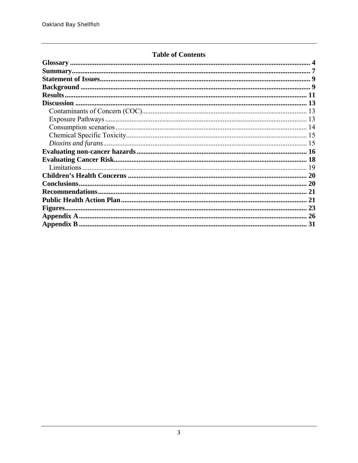### **Table of Contents**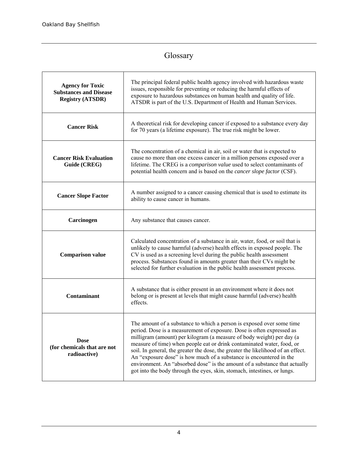# Glossary

| <b>Agency for Toxic</b><br><b>Substances and Disease</b><br><b>Registry (ATSDR)</b> | The principal federal public health agency involved with hazardous waste<br>issues, responsible for preventing or reducing the harmful effects of<br>exposure to hazardous substances on human health and quality of life.<br>ATSDR is part of the U.S. Department of Health and Human Services.                                                                                                                                                                                                                                                                                                                       |  |  |
|-------------------------------------------------------------------------------------|------------------------------------------------------------------------------------------------------------------------------------------------------------------------------------------------------------------------------------------------------------------------------------------------------------------------------------------------------------------------------------------------------------------------------------------------------------------------------------------------------------------------------------------------------------------------------------------------------------------------|--|--|
| <b>Cancer Risk</b>                                                                  | A theoretical risk for developing cancer if exposed to a substance every day<br>for 70 years (a lifetime exposure). The true risk might be lower.                                                                                                                                                                                                                                                                                                                                                                                                                                                                      |  |  |
| <b>Cancer Risk Evaluation</b><br>Guide (CREG)                                       | The concentration of a chemical in air, soil or water that is expected to<br>cause no more than one excess cancer in a million persons exposed over a<br>lifetime. The CREG is a comparison value used to select contaminants of<br>potential health concern and is based on the <i>cancer slope factor</i> (CSF).                                                                                                                                                                                                                                                                                                     |  |  |
| <b>Cancer Slope Factor</b>                                                          | A number assigned to a cancer causing chemical that is used to estimate its<br>ability to cause cancer in humans.                                                                                                                                                                                                                                                                                                                                                                                                                                                                                                      |  |  |
| Carcinogen                                                                          | Any substance that causes cancer.                                                                                                                                                                                                                                                                                                                                                                                                                                                                                                                                                                                      |  |  |
| <b>Comparison value</b>                                                             | Calculated concentration of a substance in air, water, food, or soil that is<br>unlikely to cause harmful (adverse) health effects in exposed people. The<br>CV is used as a screening level during the public health assessment<br>process. Substances found in amounts greater than their CVs might be<br>selected for further evaluation in the public health assessment process.                                                                                                                                                                                                                                   |  |  |
| <b>Contaminant</b>                                                                  | A substance that is either present in an environment where it does not<br>belong or is present at levels that might cause harmful (adverse) health<br>effects.                                                                                                                                                                                                                                                                                                                                                                                                                                                         |  |  |
| <b>Dose</b><br>(for chemicals that are not<br>radioactive)                          | The amount of a substance to which a person is exposed over some time<br>period. Dose is a measurement of exposure. Dose is often expressed as<br>milligram (amount) per kilogram (a measure of body weight) per day (a<br>measure of time) when people eat or drink contaminated water, food, or<br>soil. In general, the greater the dose, the greater the likelihood of an effect.<br>An "exposure dose" is how much of a substance is encountered in the<br>environment. An "absorbed dose" is the amount of a substance that actually<br>got into the body through the eyes, skin, stomach, intestines, or lungs. |  |  |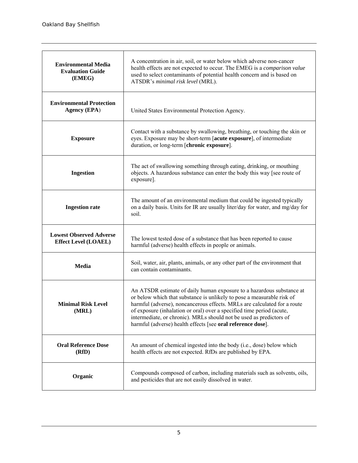| <b>Environmental Media</b><br><b>Evaluation Guide</b><br>(EMEG) | A concentration in air, soil, or water below which adverse non-cancer<br>health effects are not expected to occur. The EMEG is a comparison value<br>used to select contaminants of potential health concern and is based on<br>ATSDR's minimal risk level (MRL).                                                                                                                                                                          |
|-----------------------------------------------------------------|--------------------------------------------------------------------------------------------------------------------------------------------------------------------------------------------------------------------------------------------------------------------------------------------------------------------------------------------------------------------------------------------------------------------------------------------|
| <b>Environmental Protection</b><br><b>Agency (EPA)</b>          | United States Environmental Protection Agency.                                                                                                                                                                                                                                                                                                                                                                                             |
| <b>Exposure</b>                                                 | Contact with a substance by swallowing, breathing, or touching the skin or<br>eyes. Exposure may be short-term [acute exposure], of intermediate<br>duration, or long-term [chronic exposure].                                                                                                                                                                                                                                             |
| <b>Ingestion</b>                                                | The act of swallowing something through eating, drinking, or mouthing<br>objects. A hazardous substance can enter the body this way [see route of<br>exposure].                                                                                                                                                                                                                                                                            |
| <b>Ingestion rate</b>                                           | The amount of an environmental medium that could be ingested typically<br>on a daily basis. Units for IR are usually liter/day for water, and mg/day for<br>soil.                                                                                                                                                                                                                                                                          |
| <b>Lowest Observed Adverse</b><br><b>Effect Level (LOAEL)</b>   | The lowest tested dose of a substance that has been reported to cause<br>harmful (adverse) health effects in people or animals.                                                                                                                                                                                                                                                                                                            |
| Media                                                           | Soil, water, air, plants, animals, or any other part of the environment that<br>can contain contaminants.                                                                                                                                                                                                                                                                                                                                  |
| <b>Minimal Risk Level</b><br>(MRL)                              | An ATSDR estimate of daily human exposure to a hazardous substance at<br>or below which that substance is unlikely to pose a measurable risk of<br>harmful (adverse), noncancerous effects. MRLs are calculated for a route<br>of exposure (inhalation or oral) over a specified time period (acute,<br>intermediate, or chronic). MRLs should not be used as predictors of<br>harmful (adverse) health effects [see oral reference dose]. |
| <b>Oral Reference Dose</b><br>(RfD)                             | An amount of chemical ingested into the body (i.e., dose) below which<br>health effects are not expected. RfDs are published by EPA.                                                                                                                                                                                                                                                                                                       |
| Organic                                                         | Compounds composed of carbon, including materials such as solvents, oils,<br>and pesticides that are not easily dissolved in water.                                                                                                                                                                                                                                                                                                        |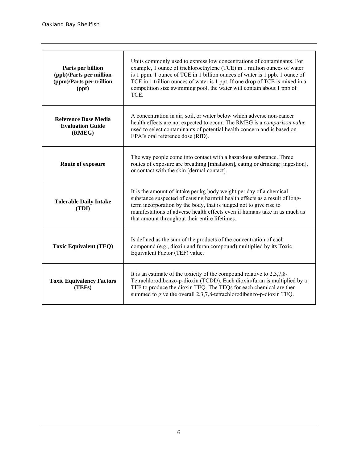| Parts per billion<br>(ppb)/Parts per million<br>(ppm)/Parts per trillion<br>(ppt) | Units commonly used to express low concentrations of contaminants. For<br>example, 1 ounce of trichloroethylene (TCE) in 1 million ounces of water<br>is 1 ppm. 1 ounce of TCE in 1 billion ounces of water is 1 ppb. 1 ounce of<br>TCE in 1 trillion ounces of water is 1 ppt. If one drop of TCE is mixed in a<br>competition size swimming pool, the water will contain about 1 ppb of<br>TCE. |
|-----------------------------------------------------------------------------------|---------------------------------------------------------------------------------------------------------------------------------------------------------------------------------------------------------------------------------------------------------------------------------------------------------------------------------------------------------------------------------------------------|
| <b>Reference Dose Media</b><br><b>Evaluation Guide</b><br>(RMEG)                  | A concentration in air, soil, or water below which adverse non-cancer<br>health effects are not expected to occur. The RMEG is a comparison value<br>used to select contaminants of potential health concern and is based on<br>EPA's oral reference dose (RfD).                                                                                                                                  |
| Route of exposure                                                                 | The way people come into contact with a hazardous substance. Three<br>routes of exposure are breathing [inhalation], eating or drinking [ingestion],<br>or contact with the skin [dermal contact].                                                                                                                                                                                                |
| <b>Tolerable Daily Intake</b><br>(TDI)                                            | It is the amount of intake per kg body weight per day of a chemical<br>substance suspected of causing harmful health effects as a result of long-<br>term incorporation by the body, that is judged not to give rise to<br>manifestations of adverse health effects even if humans take in as much as<br>that amount throughout their entire lifetimes.                                           |
| <b>Toxic Equivalent (TEQ)</b>                                                     | Is defined as the sum of the products of the concentration of each<br>compound (e.g., dioxin and furan compound) multiplied by its Toxic<br>Equivalent Factor (TEF) value.                                                                                                                                                                                                                        |
| <b>Toxic Equivalency Factors</b><br>(TEFs)                                        | It is an estimate of the toxicity of the compound relative to $2,3,7,8$<br>Tetrachlorodibenzo-p-dioxin (TCDD). Each dioxin/furan is multiplied by a<br>TEF to produce the dioxin TEQ. The TEQs for each chemical are then<br>summed to give the overall 2,3,7,8-tetrachlorodibenzo-p-dioxin TEQ.                                                                                                  |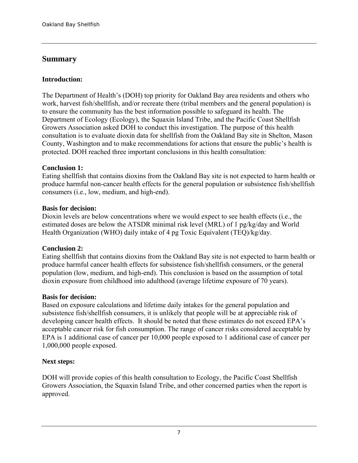## **Summary**

#### **Introduction:**

The Department of Health's (DOH) top priority for Oakland Bay area residents and others who work, harvest fish/shellfish, and/or recreate there (tribal members and the general population) is to ensure the community has the best information possible to safeguard its health. The Department of Ecology (Ecology), the Squaxin Island Tribe, and the Pacific Coast Shellfish Growers Association asked DOH to conduct this investigation. The purpose of this health consultation is to evaluate dioxin data for shellfish from the Oakland Bay site in Shelton, Mason County, Washington and to make recommendations for actions that ensure the public's health is protected. DOH reached three important conclusions in this health consultation:

#### **Conclusion 1:**

Eating shellfish that contains dioxins from the Oakland Bay site is not expected to harm health or produce harmful non-cancer health effects for the general population or subsistence fish/shellfish consumers (i.e., low, medium, and high-end).

#### **Basis for decision:**

Dioxin levels are below concentrations where we would expect to see health effects (i.e., the estimated doses are below the ATSDR minimal risk level (MRL) of 1 pg/kg/day and World Health Organization (WHO) daily intake of 4 pg Toxic Equivalent (TEQ)/kg/day.

#### **Conclusion 2:**

Eating shellfish that contains dioxins from the Oakland Bay site is not expected to harm health or produce harmful cancer health effects for subsistence fish/shellfish consumers, or the general population (low, medium, and high-end). This conclusion is based on the assumption of total dioxin exposure from childhood into adulthood (average lifetime exposure of 70 years).

#### **Basis for decision:**

Based on exposure calculations and lifetime daily intakes for the general population and subsistence fish/shellfish consumers, it is unlikely that people will be at appreciable risk of developing cancer health effects. It should be noted that these estimates do not exceed EPA's acceptable cancer risk for fish consumption. The range of cancer risks considered acceptable by EPA is 1 additional case of cancer per 10,000 people exposed to 1 additional case of cancer per 1,000,000 people exposed.

#### **Next steps:**

DOH will provide copies of this health consultation to Ecology, the Pacific Coast Shellfish Growers Association, the Squaxin Island Tribe, and other concerned parties when the report is approved.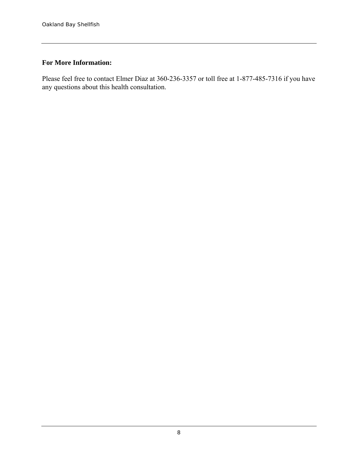## **For More Information:**

Please feel free to contact Elmer Diaz at 360-236-3357 or toll free at 1-877-485-7316 if you have any questions about this health consultation.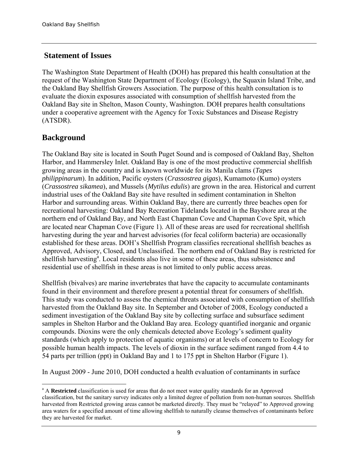## **Statement of Issues**

The Washington State Department of Health (DOH) has prepared this health consultation at the request of the Washington State Department of Ecology (Ecology), the Squaxin Island Tribe, and the Oakland Bay Shellfish Growers Association. The purpose of this health consultation is to evaluate the dioxin exposures associated with consumption of shellfish harvested from the Oakland Bay site in Shelton, Mason County, Washington. DOH prepares health consultations under a cooperative agreement with the Agency for Toxic Substances and Disease Registry (ATSDR).

# **Background**

The Oakland Bay site is located in South Puget Sound and is composed of Oakland Bay, Shelton Harbor, and Hammersley Inlet. Oakland Bay is one of the most productive commercial shellfish growing areas in the country and is known worldwide for its Manila clams (*Tapes philippinarum*). In addition, Pacific oysters (*Crassostrea gigas*), Kumamoto (Kumo) oysters (*Crassostrea sikamea*), and Mussels (*Mytilus edulis*) are grown in the area. Historical and current industrial uses of the Oakland Bay site have resulted in sediment contamination in Shelton Harbor and surrounding areas. Within Oakland Bay, there are currently three beaches open for recreational harvesting: Oakland Bay Recreation Tidelands located in the Bayshore area at the northern end of Oakland Bay, and North East Chapman Cove and Chapman Cove Spit, which are located near Chapman Cove (Figure 1). All of these areas are used for recreational shellfish harvesting during the year and harvest advisories (for fecal coliform bacteria) are occasionally established for these areas. DOH's Shellfish Program classifies recreational shellfish beaches as Approved, Advisory, Closed, and Unclassified. The northern end of Oakland Bay is restricted for shellfish harvesting<sup>a</sup>. Local residents also live in some of these areas, thus subsistence and residential use of shellfish in these areas is not limited to only public access areas.

Shellfish (bivalves) are marine invertebrates that have the capacity to accumulate contaminants found in their environment and therefore present a potential threat for consumers of shellfish. This study was conducted to assess the chemical threats associated with consumption of shellfish harvested from the Oakland Bay site. In September and October of 2008, Ecology conducted a sediment investigation of the Oakland Bay site by collecting surface and subsurface sediment samples in Shelton Harbor and the Oakland Bay area. Ecology quantified inorganic and organic compounds. Dioxins were the only chemicals detected above Ecology's sediment quality standards (which apply to protection of aquatic organisms) or at levels of concern to Ecology for possible human health impacts. The levels of dioxin in the surface sediment ranged from 4.4 to 54 parts per trillion (ppt) in Oakland Bay and 1 to 175 ppt in Shelton Harbor (Figure 1).

In August 2009 - June 2010, DOH conducted a health evaluation of contaminants in surface

<sup>&</sup>lt;u>.</u> <sup>a</sup> A Restricted classification is used for areas that do not meet water quality standards for an Approved classification, but the sanitary survey indicates only a limited degree of pollution from non-human sources. Shellfish harvested from Restricted growing areas cannot be marketed directly. They must be "relayed" to Approved growing area waters for a specified amount of time allowing shellfish to naturally cleanse themselves of contaminants before they are harvested for market.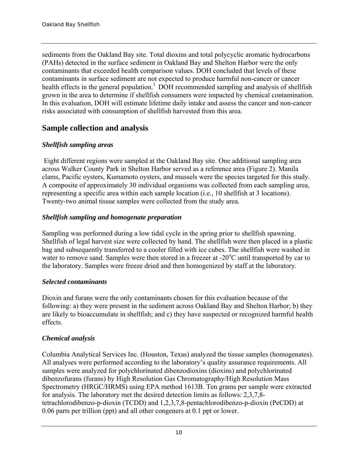sediments from the Oakland Bay site. Total dioxins and total polycyclic aromatic hydrocarbons (PAHs) detected in the surface sediment in Oakland Bay and Shelton Harbor were the only contaminants that exceeded health comparison values. DOH concluded that levels of these contaminants in surface sediment are not expected to produce harmful non-cancer or cancer health effects in the general population.<sup>1</sup> DOH recommended sampling and analysis of shellfish grown in the area to determine if shellfish consumers were impacted by chemical contamination. In this evaluation, DOH will estimate lifetime daily intake and assess the cancer and non-cancer risks associated with consumption of shellfish harvested from this area.

## **Sample collection and analysis**

#### *Shellfish sampling areas*

Eight different regions were sampled at the Oakland Bay site. One additional sampling area across Walker County Park in Shelton Harbor served as a reference area (Figure 2). Manila clams, Pacific oysters, Kumamoto oysters, and mussels were the species targeted for this study. A composite of approximately 30 individual organisms was collected from each sampling area, representing a specific area within each sample location (i.e., 10 shellfish at 3 locations). Twenty-two animal tissue samples were collected from the study area.

#### *Shellfish sampling and homogenate preparation*

Sampling was performed during a low tidal cycle in the spring prior to shellfish spawning. Shellfish of legal harvest size were collected by hand. The shellfish were then placed in a plastic bag and subsequently transferred to a cooler filled with ice cubes. The shellfish were washed in water to remove sand. Samples were then stored in a freezer at -20°C until transported by car to the laboratory. Samples were freeze dried and then homogenized by staff at the laboratory.

#### *Selected contaminants*

Dioxin and furans were the only contaminants chosen for this evaluation because of the following: a) they were present in the sediment across Oakland Bay and Shelton Harbor; b) they are likely to bioaccumulate in shellfish; and c) they have suspected or recognized harmful health effects.

#### *Chemical analysis*

Columbia Analytical Services Inc. (Houston, Texas) analyzed the tissue samples (homogenates). All analyses were performed according to the laboratory's quality assurance requirements. All samples were analyzed for polychlorinated dibenzodioxins (dioxins) and polychlorinated dibenzofurans (furans) by High Resolution Gas Chromatography/High Resolution Mass Spectrometry (HRGC/HRMS) using EPA method 1613B. Ten grams per sample were extracted for analysis. The laboratory met the desired detection limits as follows: 2,3,7,8 tetrachlorodibenzo-p-dioxin (TCDD) and 1,2,3,7,8-pentachlorodibenzo-p-dioxin (PeCDD) at 0.06 parts per trillion (ppt) and all other congeners at 0.1 ppt or lower.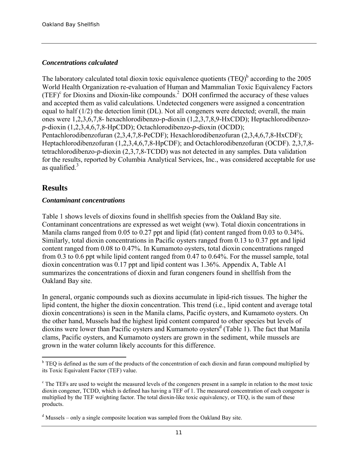#### *Concentrations calculated*

The laboratory calculated total dioxin toxic equivalence quotients  $(TEQ)^{b}$  according to the 2005 World Health Organization re-evaluation of Human and Mammalian Toxic Equivalency Factors  $(TEF)^c$  for Dioxins and Dioxin-like compounds.<sup>2</sup> DOH confirmed the accuracy of these values and accepted them as valid calculations. Undetected congeners were assigned a concentration equal to half (1/2) the detection limit (DL). Not all congeners were detected; overall, the main ones were 1,2,3,6,7,8- hexachlorodibenzo-p-dioxin (1,2,3,7,8,9-HxCDD); Heptachlorodibenzo*p-*dioxin (1,2,3,4,6,7,8-HpCDD); Octachlorodibenzo*-p-*dioxin (OCDD); Pentachlorodibenzofuran (2,3,4,7,8-PeCDF); Hexachlorodibenzofuran (2,3,4,6,7,8-HxCDF); Heptachlorodibenzofuran (1,2,3,4,6,7,8-HpCDF); and Octachlorodibenzofuran (OCDF). 2,3,7,8 tetrachlorodibenzo*-p-*dioxin (2,3,7,8-TCDD) was not detected in any samples. Data validation for the results, reported by Columbia Analytical Services, Inc., was considered acceptable for use as qualified. $3$ 

## **Results**

#### *Contaminant concentrations*

Table 1 shows levels of dioxins found in shellfish species from the Oakland Bay site. Contaminant concentrations are expressed as wet weight (ww). Total dioxin concentrations in Manila clams ranged from 0.05 to 0.27 ppt and lipid (fat) content ranged from 0.03 to 0.34%. Similarly, total dioxin concentrations in Pacific oysters ranged from 0.13 to 0.37 ppt and lipid content ranged from 0.08 to 0.47%. In Kumamoto oysters, total dioxin concentrations ranged from 0.3 to 0.6 ppt while lipid content ranged from 0.47 to 0.64%. For the mussel sample, total dioxin concentration was 0.17 ppt and lipid content was 1.36%. Appendix A, Table A1 summarizes the concentrations of dioxin and furan congeners found in shellfish from the Oakland Bay site.

In general, organic compounds such as dioxins accumulate in lipid-rich tissues. The higher the lipid content, the higher the dioxin concentration. This trend (i.e., lipid content and average total dioxin concentrations) is seen in the Manila clams, Pacific oysters, and Kumamoto oysters. On the other hand, Mussels had the highest lipid content compared to other species but levels of dioxins were lower than Pacific oysters and Kumamoto oysters<sup>d</sup> (Table 1). The fact that Manila clams, Pacific oysters, and Kumamoto oysters are grown in the sediment, while mussels are grown in the water column likely accounts for this difference.

<sup>&</sup>lt;sup>b</sup> TEQ is defined as the sum of the products of the concentration of each dioxin and furan compound multiplied by its Toxic Equivalent Factor (TEF) value.

<sup>&</sup>lt;sup>c</sup> The TEFs are used to weight the measured levels of the congeners present in a sample in relation to the most toxic dioxin congener, TCDD, which is defined has having a TEF of 1. The measured concentration of each congener is multiplied by the TEF weighting factor. The total dioxin-like toxic equivalency, or TEQ, is the sum of these products.

<sup>&</sup>lt;sup>d</sup> Mussels – only a single composite location was sampled from the Oakland Bay site.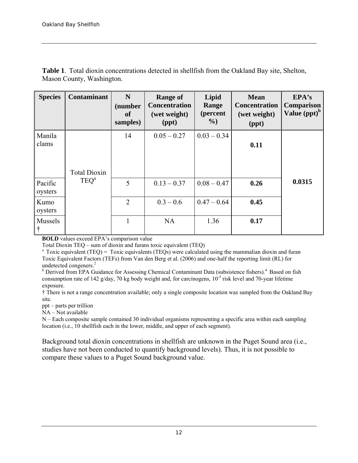| <b>Species</b>     | <b>Contaminant</b>  | N<br>(number<br><b>of</b><br>samples) | <b>Range of</b><br><b>Concentration</b><br>(wet weight)<br>$(\text{ppt})$ | Lipid<br>Range<br>(percent<br>$\%$ | <b>Mean</b><br><b>Concentration</b><br>(wet weight)<br>(ppt) | EPA's<br><b>Comparison</b><br>Value $(ppt)^b$ |
|--------------------|---------------------|---------------------------------------|---------------------------------------------------------------------------|------------------------------------|--------------------------------------------------------------|-----------------------------------------------|
| Manila<br>clams    | <b>Total Dioxin</b> | 14                                    | $0.05 - 0.27$                                                             | $0.03 - 0.34$                      | 0.11                                                         |                                               |
| Pacific<br>oysters | TEQ <sup>a</sup>    | 5                                     | $0.13 - 0.37$                                                             | $0.08 - 0.47$                      | 0.26                                                         | 0.0315                                        |
| Kumo<br>oysters    |                     | $\overline{2}$                        | $0.3 - 0.6$                                                               | $0.47 - 0.64$                      | 0.45                                                         |                                               |
| Mussels<br>l t     |                     | $\mathbf{1}$                          | <b>NA</b>                                                                 | 1.36                               | 0.17                                                         |                                               |

**Table 1**. Total dioxin concentrations detected in shellfish from the Oakland Bay site, Shelton, Mason County, Washington.

**BOLD** values exceed EPA's comparison value

Total Dioxin TEQ – sum of dioxin and furans toxic equivalent (TEQ)

<sup>a</sup> Toxic equivalent (TEQ) = Toxic equivalents (TEQs) were calculated using the mammalian dioxin and furan Toxic Equivalent Factors (TEFs) from Van den Berg et al. (2006) and one-half the reporting limit (RL) for undetected congeners.<sup>2</sup>

<sup>b</sup> Derived from EPA Guidance for Assessing Chemical Contaminant Data (subsistence fishers).<sup>4</sup> Based on fish consumption rate of 142 g/day, 70 kg body weight and, for carcinogens,  $10^{-5}$  risk level and 70-year lifetime exposure.

† There is not a range concentration available; only a single composite location was sampled from the Oakland Bay site.

ppt – parts per trillion

 $NA - Not available$ 

N – Each composite sample contained 30 individual organisms representing a specific area within each sampling location (i.e., 10 shellfish each in the lower, middle, and upper of each segment).

Background total dioxin concentrations in shellfish are unknown in the Puget Sound area (i.e., studies have not been conducted to quantify background levels). Thus, it is not possible to compare these values to a Puget Sound background value.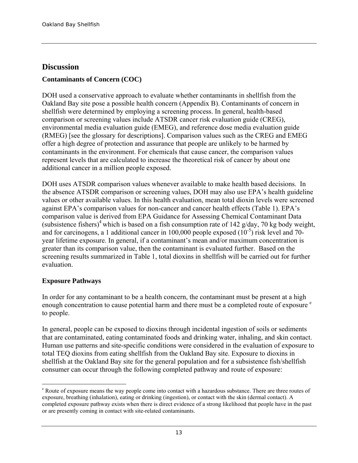## **Discussion**

## **Contaminants of Concern (COC)**

DOH used a conservative approach to evaluate whether contaminants in shellfish from the Oakland Bay site pose a possible health concern (Appendix B). Contaminants of concern in shellfish were determined by employing a screening process. In general, health-based comparison or screening values include ATSDR cancer risk evaluation guide (CREG), environmental media evaluation guide (EMEG), and reference dose media evaluation guide (RMEG) [see the glossary for descriptions]. Comparison values such as the CREG and EMEG offer a high degree of protection and assurance that people are unlikely to be harmed by contaminants in the environment. For chemicals that cause cancer, the comparison values represent levels that are calculated to increase the theoretical risk of cancer by about one additional cancer in a million people exposed.

DOH uses ATSDR comparison values whenever available to make health based decisions. In the absence ATSDR comparison or screening values, DOH may also use EPA's health guideline values or other available values. In this health evaluation, mean total dioxin levels were screened against EPA's comparison values for non-cancer and cancer health effects (Table 1). EPA's comparison value is derived from EPA Guidance for Assessing Chemical Contaminant Data (subsistence fishers)<sup>4</sup> which is based on a fish consumption rate of 142 g/day, 70 kg body weight, and for carcinogens, a 1 additional cancer in 100,000 people exposed  $(10^{-5})$  risk level and 70year lifetime exposure. In general, if a contaminant's mean and/or maximum concentration is greater than its comparison value, then the contaminant is evaluated further. Based on the screening results summarized in Table 1, total dioxins in shellfish will be carried out for further evaluation.

#### **Exposure Pathways**

In order for any contaminant to be a health concern, the contaminant must be present at a high enough concentration to cause potential harm and there must be a completed route of exposure  $\epsilon$ to people.

In general, people can be exposed to dioxins through incidental ingestion of soils or sediments that are contaminated, eating contaminated foods and drinking water, inhaling, and skin contact. Human use patterns and site-specific conditions were considered in the evaluation of exposure to total TEQ dioxins from eating shellfish from the Oakland Bay site. Exposure to dioxins in shellfish at the Oakland Bay site for the general population and for a subsistence fish/shellfish consumer can occur through the following completed pathway and route of exposure:

<sup>&</sup>lt;u>.</u> <sup>e</sup> Route of exposure means the way people come into contact with a hazardous substance. There are three routes of exposure, breathing (inhalation), eating or drinking (ingestion), or contact with the skin (dermal contact). A completed exposure pathway exists when there is direct evidence of a strong likelihood that people have in the past or are presently coming in contact with site-related contaminants.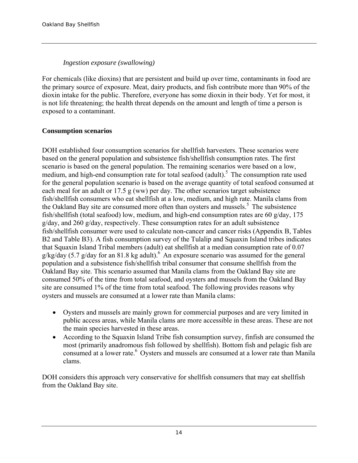#### *Ingestion exposure (swallowing)*

For chemicals (like dioxins) that are persistent and build up over time, contaminants in food are the primary source of exposure. Meat, dairy products, and fish contribute more than 90% of the dioxin intake for the public. Therefore, everyone has some dioxin in their body. Yet for most, it is not life threatening; the health threat depends on the amount and length of time a person is exposed to a contaminant.

#### **Consumption scenarios**

DOH established four consumption scenarios for shellfish harvesters. These scenarios were based on the general population and subsistence fish/shellfish consumption rates. The first scenario is based on the general population. The remaining scenarios were based on a low, medium, and high-end consumption rate for total seafood  $($ adult $)$ <sup>5</sup>. The consumption rate used for the general population scenario is based on the average quantity of total seafood consumed at each meal for an adult or 17.5 g (ww) per day. The other scenarios target subsistence fish/shellfish consumers who eat shellfish at a low, medium, and high rate. Manila clams from the Oakland Bay site are consumed more often than oysters and mussels.<sup>5</sup> The subsistence fish/shellfish (total seafood) low, medium, and high-end consumption rates are 60 g/day, 175 g/day, and 260 g/day, respectively. These consumption rates for an adult subsistence fish/shellfish consumer were used to calculate non-cancer and cancer risks (Appendix B, Tables B2 and Table B3). A fish consumption survey of the Tulalip and Squaxin Island tribes indicates that Squaxin Island Tribal members (adult) eat shellfish at a median consumption rate of 0.07  $g/kg/day$  (5.7 g/day for an 81.8 kg adult).<sup>6</sup> An exposure scenario was assumed for the general population and a subsistence fish/shellfish tribal consumer that consume shellfish from the Oakland Bay site. This scenario assumed that Manila clams from the Oakland Bay site are consumed 50% of the time from total seafood, and oysters and mussels from the Oakland Bay site are consumed 1% of the time from total seafood. The following provides reasons why oysters and mussels are consumed at a lower rate than Manila clams:

- Oysters and mussels are mainly grown for commercial purposes and are very limited in public access areas, while Manila clams are more accessible in these areas. These are not the main species harvested in these areas.
- According to the Squaxin Island Tribe fish consumption survey, finfish are consumed the most (primarily anadromous fish followed by shellfish). Bottom fish and pelagic fish are consumed at a lower rate.<sup>6</sup> Oysters and mussels are consumed at a lower rate than Manila clams.

DOH considers this approach very conservative for shellfish consumers that may eat shellfish from the Oakland Bay site.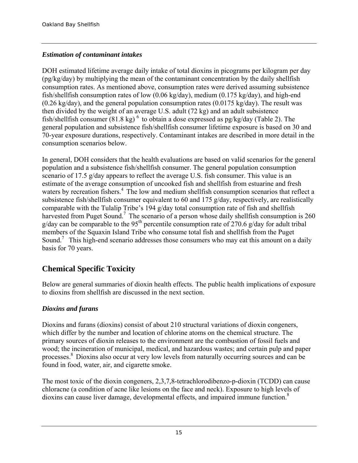## *Estimation of contaminant intakes*

DOH estimated lifetime average daily intake of total dioxins in picograms per kilogram per day (pg/kg/day) by multiplying the mean of the contaminant concentration by the daily shellfish consumption rates. As mentioned above, consumption rates were derived assuming subsistence fish/shellfish consumption rates of low (0.06 kg/day), medium (0.175 kg/day), and high-end  $(0.26 \text{ kg/day})$ , and the general population consumption rates  $(0.0175 \text{ kg/day})$ . The result was then divided by the weight of an average U.S. adult (72 kg) and an adult subsistence fish/shellfish consumer  $(81.8 \text{ kg})^6$  to obtain a dose expressed as pg/kg/day (Table 2). The general population and subsistence fish/shellfish consumer lifetime exposure is based on 30 and 70-year exposure durations, respectively. Contaminant intakes are described in more detail in the consumption scenarios below.

In general, DOH considers that the health evaluations are based on valid scenarios for the general population and a subsistence fish/shellfish consumer. The general population consumption scenario of 17.5 g/day appears to reflect the average U.S. fish consumer. This value is an estimate of the average consumption of uncooked fish and shellfish from estuarine and fresh waters by recreation fishers.<sup>4</sup> The low and medium shellfish consumption scenarios that reflect a subsistence fish/shellfish consumer equivalent to 60 and 175 g/day, respectively, are realistically comparable with the Tulalip Tribe's 194 g/day total consumption rate of fish and shellfish harvested from Puget Sound.<sup>7</sup> The scenario of a person whose daily shellfish consumption is 260  $g/day$  can be comparable to the 95<sup>th</sup> percentile consumption rate of 270.6 g/day for adult tribal members of the Squaxin Island Tribe who consume total fish and shellfish from the Puget Sound.<sup>7</sup> This high-end scenario addresses those consumers who may eat this amount on a daily basis for 70 years.

# **Chemical Specific Toxicity**

Below are general summaries of dioxin health effects. The public health implications of exposure to dioxins from shellfish are discussed in the next section.

## *Dioxins and furans*

Dioxins and furans (dioxins) consist of about 210 structural variations of dioxin congeners, which differ by the number and location of chlorine atoms on the chemical structure. The primary sources of dioxin releases to the environment are the combustion of fossil fuels and wood; the incineration of municipal, medical, and hazardous wastes; and certain pulp and paper processes.8 Dioxins also occur at very low levels from naturally occurring sources and can be found in food, water, air, and cigarette smoke.

The most toxic of the dioxin congeners, 2,3,7,8-tetrachlorodibenzo-p-dioxin (TCDD) can cause chloracne (a condition of acne like lesions on the face and neck). Exposure to high levels of dioxins can cause liver damage, developmental effects, and impaired immune function.<sup>8</sup>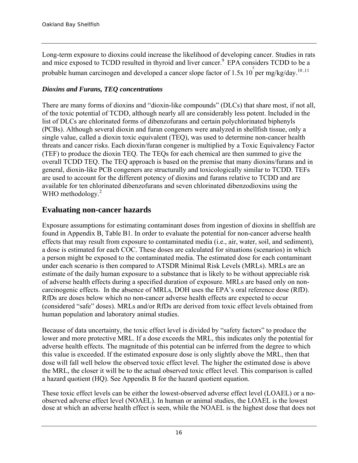Long-term exposure to dioxins could increase the likelihood of developing cancer. Studies in rats and mice exposed to TCDD resulted in thyroid and liver cancer.<sup>9</sup> EPA considers TCDD to be a probable human carcinogen and developed a cancer slope factor of 1.5x  $10^5$  per mg/kg/day.<sup>10,11</sup>

### *Dioxins and Furans, TEQ concentrations*

There are many forms of dioxins and "dioxin-like compounds" (DLCs) that share most, if not all, of the toxic potential of TCDD, although nearly all are considerably less potent. Included in the list of DLCs are chlorinated forms of dibenzofurans and certain polychlorinated biphenyls (PCBs). Although several dioxin and furan congeners were analyzed in shellfish tissue, only a single value, called a dioxin toxic equivalent (TEQ), was used to determine non-cancer health threats and cancer risks. Each dioxin/furan congener is multiplied by a Toxic Equivalency Factor (TEF) to produce the dioxin TEQ. The TEQs for each chemical are then summed to give the overall TCDD TEQ. The TEQ approach is based on the premise that many dioxins/furans and in general, dioxin-like PCB congeners are structurally and toxicologically similar to TCDD. TEFs are used to account for the different potency of dioxins and furans relative to TCDD and are available for ten chlorinated dibenzofurans and seven chlorinated dibenzodioxins using the WHO methodology.<sup>2</sup>

## **Evaluating non-cancer hazards**

Exposure assumptions for estimating contaminant doses from ingestion of dioxins in shellfish are found in Appendix B, Table B1. In order to evaluate the potential for non-cancer adverse health effects that may result from exposure to contaminated media (i.e., air, water, soil, and sediment), a dose is estimated for each COC. These doses are calculated for situations (scenarios) in which a person might be exposed to the contaminated media. The estimated dose for each contaminant under each scenario is then compared to ATSDR Minimal Risk Levels (MRLs). MRLs are an estimate of the daily human exposure to a substance that is likely to be without appreciable risk of adverse health effects during a specified duration of exposure. MRLs are based only on noncarcinogenic effects. In the absence of MRLs, DOH uses the EPA's oral reference dose (RfD). RfDs are doses below which no non-cancer adverse health effects are expected to occur (considered "safe" doses). MRLs and/or RfDs are derived from toxic effect levels obtained from human population and laboratory animal studies.

Because of data uncertainty, the toxic effect level is divided by "safety factors" to produce the lower and more protective MRL. If a dose exceeds the MRL, this indicates only the potential for adverse health effects. The magnitude of this potential can be inferred from the degree to which this value is exceeded. If the estimated exposure dose is only slightly above the MRL, then that dose will fall well below the observed toxic effect level. The higher the estimated dose is above the MRL, the closer it will be to the actual observed toxic effect level. This comparison is called a hazard quotient (HQ). See Appendix B for the hazard quotient equation.

These toxic effect levels can be either the lowest-observed adverse effect level (LOAEL) or a noobserved adverse effect level (NOAEL). In human or animal studies, the LOAEL is the lowest dose at which an adverse health effect is seen, while the NOAEL is the highest dose that does not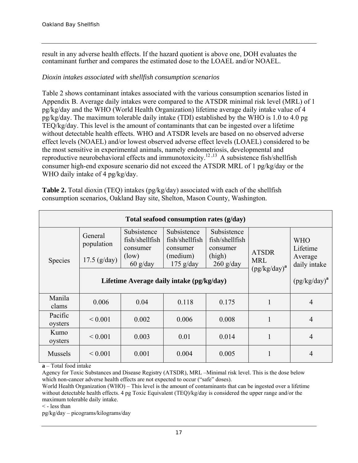result in any adverse health effects. If the hazard quotient is above one, DOH evaluates the contaminant further and compares the estimated dose to the LOAEL and/or NOAEL.

#### *Dioxin intakes associated with shellfish consumption scenarios*

Table 2 shows contaminant intakes associated with the various consumption scenarios listed in Appendix B. Average daily intakes were compared to the ATSDR minimal risk level (MRL) of 1 pg/kg/day and the WHO (World Health Organization) lifetime average daily intake value of 4 pg/kg/day. The maximum tolerable daily intake (TDI) established by the WHO is 1.0 to 4.0 pg TEQ/kg/day. This level is the amount of contaminants that can be ingested over a lifetime without detectable health effects. WHO and ATSDR levels are based on no observed adverse effect levels (NOAEL) and/or lowest observed adverse effect levels (LOAEL) considered to be the most sensitive in experimental animals, namely endometriosis, developmental and reproductive neurobehavioral effects and immunotoxicity.<sup>12,13</sup> A subsistence fish/shellfish consumer high-end exposure scenario did not exceed the ATSDR MRL of 1 pg/kg/day or the WHO daily intake of 4 pg/kg/day.

**Table 2.** Total dioxin (TEQ) intakes (pg/kg/day) associated with each of the shellfish consumption scenarios, Oakland Bay site, Shelton, Mason County, Washington.

| Total seafood consumption rates (g/day) |                                         |                                                                  |                                                                      |                                                                    |                                               |                                                   |  |
|-----------------------------------------|-----------------------------------------|------------------------------------------------------------------|----------------------------------------------------------------------|--------------------------------------------------------------------|-----------------------------------------------|---------------------------------------------------|--|
| Species                                 | General<br>population<br>$17.5$ (g/day) | Subsistence<br>fish/shellfish<br>consumer<br>(low)<br>$60$ g/day | Subsistence<br>fish/shellfish<br>consumer<br>(medium)<br>$175$ g/day | Subsistence<br>fish/shellfish<br>consumer<br>(high)<br>$260$ g/day | <b>ATSDR</b><br><b>MRL</b><br>$(pg/kg/day)^a$ | <b>WHO</b><br>Lifetime<br>Average<br>daily intake |  |
|                                         |                                         | Lifetime Average daily intake (pg/kg/day)                        |                                                                      | $(pg/kg/day)^a$                                                    |                                               |                                                   |  |
| Manila<br>clams                         | 0.006                                   | 0.04                                                             |                                                                      | $\overline{4}$                                                     |                                               |                                                   |  |
| Pacific<br>oysters                      | ${}< 0.001$                             | 0.002                                                            |                                                                      | $\overline{4}$                                                     |                                               |                                                   |  |
| Kumo<br>oysters                         | ${}< 0.001$                             | 0.003                                                            | 1                                                                    | $\overline{4}$                                                     |                                               |                                                   |  |
| <b>Mussels</b>                          | ${}< 0.001$                             | 0.001                                                            | 0.004                                                                | 0.005                                                              | 1                                             | $\overline{4}$                                    |  |

**a** – Total food intake

Agency for Toxic Substances and Disease Registry (ATSDR), MRL –Minimal risk level. This is the dose below which non-cancer adverse health effects are not expected to occur ("safe" doses).

World Health Organization (WHO) – This level is the amount of contaminants that can be ingested over a lifetime without detectable health effects. 4 pg Toxic Equivalent (TEQ)/kg/day is considered the upper range and/or the maximum tolerable daily intake.

< - less than

pg/kg/day – picograms/kilograms/day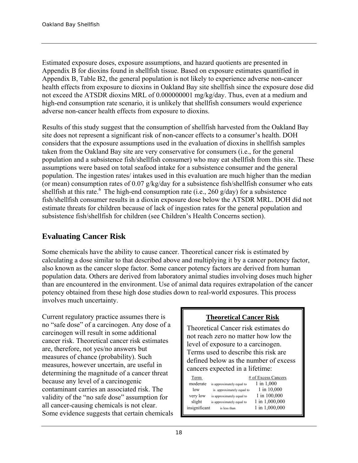Estimated exposure doses, exposure assumptions, and hazard quotients are presented in Appendix B for dioxins found in shellfish tissue. Based on exposure estimates quantified in Appendix B, Table B2, the general population is not likely to experience adverse non-cancer health effects from exposure to dioxins in Oakland Bay site shellfish since the exposure dose did not exceed the ATSDR dioxins MRL of 0.000000001 mg/kg/day. Thus, even at a medium and high-end consumption rate scenario, it is unlikely that shellfish consumers would experience adverse non-cancer health effects from exposure to dioxins.

Results of this study suggest that the consumption of shellfish harvested from the Oakland Bay site does not represent a significant risk of non-cancer effects to a consumer's health. DOH considers that the exposure assumptions used in the evaluation of dioxins in shellfish samples taken from the Oakland Bay site are very conservative for consumers (i.e., for the general population and a subsistence fish/shellfish consumer) who may eat shellfish from this site. These assumptions were based on total seafood intake for a subsistence consumer and the general population. The ingestion rates/ intakes used in this evaluation are much higher than the median (or mean) consumption rates of 0.07 g/kg/day for a subsistence fish/shellfish consumer who eats shellfish at this rate.<sup>6</sup> The high-end consumption rate (i.e., 260 g/day) for a subsistence fish/shellfish consumer results in a dioxin exposure dose below the ATSDR MRL. DOH did not estimate threats for children because of lack of ingestion rates for the general population and subsistence fish/shellfish for children (see Children's Health Concerns section).

# **Evaluating Cancer Risk**

Some chemicals have the ability to cause cancer. Theoretical cancer risk is estimated by calculating a dose similar to that described above and multiplying it by a cancer potency factor, also known as the cancer slope factor. Some cancer potency factors are derived from human population data. Others are derived from laboratory animal studies involving doses much higher than are encountered in the environment. Use of animal data requires extrapolation of the cancer potency obtained from these high dose studies down to real-world exposures. This process involves much uncertainty.

Current regulatory practice assumes there is no "safe dose" of a carcinogen. Any dose of a carcinogen will result in some additional cancer risk. Theoretical cancer risk estimates are, therefore, not yes/no answers but measures of chance (probability). Such measures, however uncertain, are useful in determining the magnitude of a cancer threat because any level of a carcinogenic contaminant carries an associated risk. The validity of the "no safe dose" assumption for all cancer-causing chemicals is not clear. Some evidence suggests that certain chemicals

## **Theoretical Cancer Risk**

Theoretical Cancer risk estimates do not reach zero no matter how low the level of exposure to a carcinogen. Terms used to describe this risk are defined below as the number of excess cancers expected in a lifetime:

| Term          |                           | # of Excess Cancers |
|---------------|---------------------------|---------------------|
| moderate      | is approximately equal to | $1$ in $1,000$      |
| low           | is approximately equal to | 1 in 10,000         |
| very low      | is approximately equal to | 1 in 100,000        |
| slight        | is approximately equal to | 1 in 1,000,000      |
| insignificant | is less than              | 1 in 1,000,000      |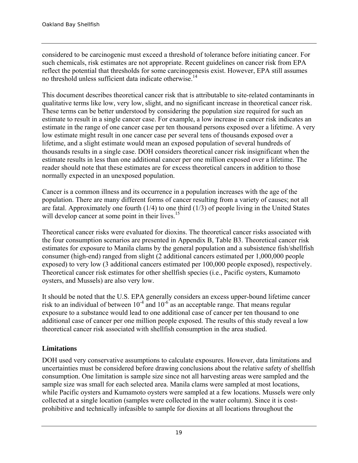considered to be carcinogenic must exceed a threshold of tolerance before initiating cancer. For such chemicals, risk estimates are not appropriate. Recent guidelines on cancer risk from EPA reflect the potential that thresholds for some carcinogenesis exist. However, EPA still assumes no threshold unless sufficient data indicate otherwise.<sup>14</sup>

This document describes theoretical cancer risk that is attributable to site-related contaminants in qualitative terms like low, very low, slight, and no significant increase in theoretical cancer risk. These terms can be better understood by considering the population size required for such an estimate to result in a single cancer case. For example, a low increase in cancer risk indicates an estimate in the range of one cancer case per ten thousand persons exposed over a lifetime. A very low estimate might result in one cancer case per several tens of thousands exposed over a lifetime, and a slight estimate would mean an exposed population of several hundreds of thousands results in a single case. DOH considers theoretical cancer risk insignificant when the estimate results in less than one additional cancer per one million exposed over a lifetime. The reader should note that these estimates are for excess theoretical cancers in addition to those normally expected in an unexposed population.

Cancer is a common illness and its occurrence in a population increases with the age of the population. There are many different forms of cancer resulting from a variety of causes; not all are fatal. Approximately one fourth  $(1/4)$  to one third  $(1/3)$  of people living in the United States will develop cancer at some point in their lives.<sup>15</sup>

Theoretical cancer risks were evaluated for dioxins. The theoretical cancer risks associated with the four consumption scenarios are presented in Appendix B, Table B3. Theoretical cancer risk estimates for exposure to Manila clams by the general population and a subsistence fish/shellfish consumer (high-end) ranged from slight (2 additional cancers estimated per 1,000,000 people exposed) to very low (3 additional cancers estimated per 100,000 people exposed), respectively. Theoretical cancer risk estimates for other shellfish species (i.e., Pacific oysters, Kumamoto oysters, and Mussels) are also very low.

It should be noted that the U.S. EPA generally considers an excess upper-bound lifetime cancer risk to an individual of between  $10^{-4}$  and  $10^{-6}$  as an acceptable range. That means regular exposure to a substance would lead to one additional case of cancer per ten thousand to one additional case of cancer per one million people exposed. The results of this study reveal a low theoretical cancer risk associated with shellfish consumption in the area studied.

## **Limitations**

DOH used very conservative assumptions to calculate exposures. However, data limitations and uncertainties must be considered before drawing conclusions about the relative safety of shellfish consumption. One limitation is sample size since not all harvesting areas were sampled and the sample size was small for each selected area. Manila clams were sampled at most locations, while Pacific oysters and Kumamoto oysters were sampled at a few locations. Mussels were only collected at a single location (samples were collected in the water column). Since it is costprohibitive and technically infeasible to sample for dioxins at all locations throughout the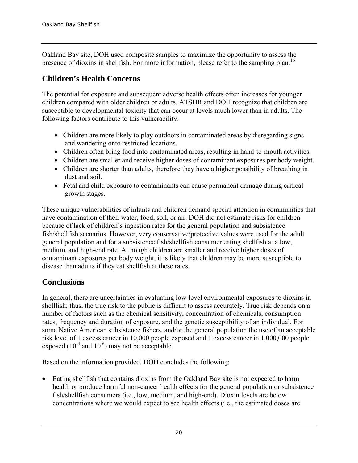Oakland Bay site, DOH used composite samples to maximize the opportunity to assess the presence of dioxins in shellfish. For more information, please refer to the sampling plan.<sup>16</sup>

# **Children's Health Concerns**

The potential for exposure and subsequent adverse health effects often increases for younger children compared with older children or adults. ATSDR and DOH recognize that children are susceptible to developmental toxicity that can occur at levels much lower than in adults. The following factors contribute to this vulnerability:

- Children are more likely to play outdoors in contaminated areas by disregarding signs and wandering onto restricted locations.
- Children often bring food into contaminated areas, resulting in hand-to-mouth activities.
- Children are smaller and receive higher doses of contaminant exposures per body weight.
- Children are shorter than adults, therefore they have a higher possibility of breathing in dust and soil.
- Fetal and child exposure to contaminants can cause permanent damage during critical growth stages.

These unique vulnerabilities of infants and children demand special attention in communities that have contamination of their water, food, soil, or air. DOH did not estimate risks for children because of lack of children's ingestion rates for the general population and subsistence fish/shellfish scenarios. However, very conservative/protective values were used for the adult general population and for a subsistence fish/shellfish consumer eating shellfish at a low, medium, and high-end rate. Although children are smaller and receive higher doses of contaminant exposures per body weight, it is likely that children may be more susceptible to disease than adults if they eat shellfish at these rates.

# **Conclusions**

In general, there are uncertainties in evaluating low-level environmental exposures to dioxins in shellfish; thus, the true risk to the public is difficult to assess accurately. True risk depends on a number of factors such as the chemical sensitivity, concentration of chemicals, consumption rates, frequency and duration of exposure, and the genetic susceptibility of an individual. For some Native American subsistence fishers, and/or the general population the use of an acceptable risk level of 1 excess cancer in 10,000 people exposed and 1 excess cancer in 1,000,000 people exposed  $(10^{-4}$  and  $10^{-6}$ ) may not be acceptable.

Based on the information provided, DOH concludes the following:

 Eating shellfish that contains dioxins from the Oakland Bay site is not expected to harm health or produce harmful non-cancer health effects for the general population or subsistence fish/shellfish consumers (i.e., low, medium, and high-end). Dioxin levels are below concentrations where we would expect to see health effects (i.e., the estimated doses are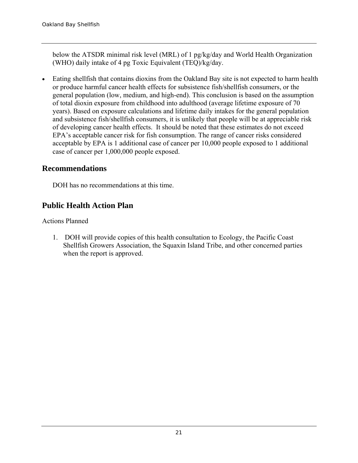below the ATSDR minimal risk level (MRL) of 1 pg/kg/day and World Health Organization (WHO) daily intake of 4 pg Toxic Equivalent (TEQ)/kg/day.

 Eating shellfish that contains dioxins from the Oakland Bay site is not expected to harm health or produce harmful cancer health effects for subsistence fish/shellfish consumers, or the general population (low, medium, and high-end). This conclusion is based on the assumption of total dioxin exposure from childhood into adulthood (average lifetime exposure of 70 years). Based on exposure calculations and lifetime daily intakes for the general population and subsistence fish/shellfish consumers, it is unlikely that people will be at appreciable risk of developing cancer health effects. It should be noted that these estimates do not exceed EPA's acceptable cancer risk for fish consumption. The range of cancer risks considered acceptable by EPA is 1 additional case of cancer per 10,000 people exposed to 1 additional case of cancer per 1,000,000 people exposed.

## **Recommendations**

DOH has no recommendations at this time.

## **Public Health Action Plan**

Actions Planned

1. DOH will provide copies of this health consultation to Ecology, the Pacific Coast Shellfish Growers Association, the Squaxin Island Tribe, and other concerned parties when the report is approved.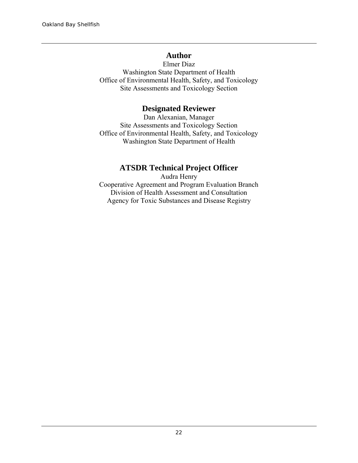## **Author**

Elmer Diaz Washington State Department of Health Office of Environmental Health, Safety, and Toxicology Site Assessments and Toxicology Section

## **Designated Reviewer**

Dan Alexanian, Manager Site Assessments and Toxicology Section Office of Environmental Health, Safety, and Toxicology Washington State Department of Health

# **ATSDR Technical Project Officer**

Audra Henry Cooperative Agreement and Program Evaluation Branch Division of Health Assessment and Consultation Agency for Toxic Substances and Disease Registry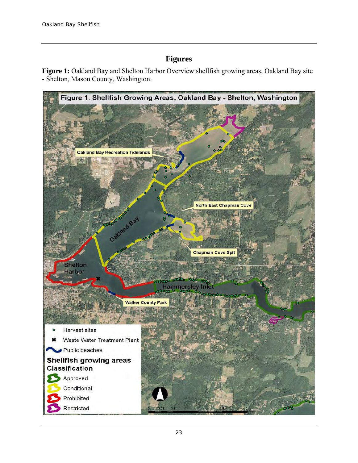## **Figures**

**Figure 1:** Oakland Bay and Shelton Harbor Overview shellfish growing areas, Oakland Bay site - Shelton, Mason County, Washington.

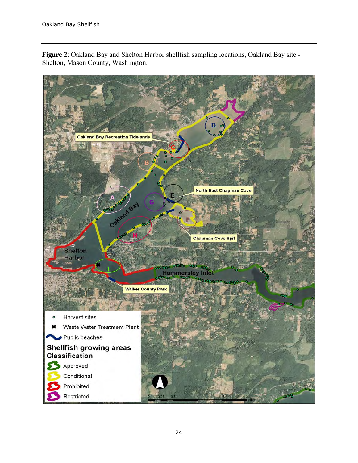

**Figure 2**: Oakland Bay and Shelton Harbor shellfish sampling locations, Oakland Bay site - Shelton, Mason County, Washington.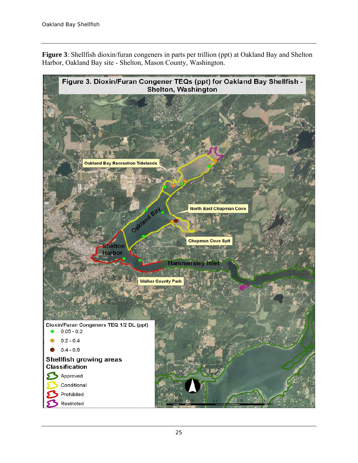**Figure 3**: Shellfish dioxin/furan congeners in parts per trillion (ppt) at Oakland Bay and Shelton Harbor, Oakland Bay site - Shelton, Mason County, Washington.

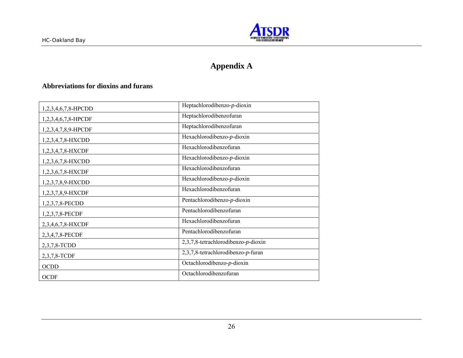

# **Appendix A**

#### **Abbreviations for dioxins and furans**

| 1,2,3,4,6,7,8-HPCDD | Heptachlorodibenzo-p-dioxin            |
|---------------------|----------------------------------------|
| 1,2,3,4,6,7,8-HPCDF | Heptachlorodibenzofuran                |
| 1,2,3,4,7,8,9-HPCDF | Heptachlorodibenzofuran                |
| 1,2,3,4,7,8-HXCDD   | Hexachlorodibenzo-p-dioxin             |
| 1,2,3,4,7,8-HXCDF   | Hexachlorodibenzofuran                 |
| 1,2,3,6,7,8-HXCDD   | Hexachlorodibenzo-p-dioxin             |
| 1,2,3,6,7,8-HXCDF   | Hexachlorodibenzofuran                 |
| 1,2,3,7,8,9-HXCDD   | Hexachlorodibenzo-p-dioxin             |
| 1,2,3,7,8,9-HXCDF   | Hexachlorodibenzofuran                 |
| 1,2,3,7,8-PECDD     | Pentachlorodibenzo-p-dioxin            |
| 1,2,3,7,8-PECDF     | Pentachlorodibenzofuran                |
| 2,3,4,6,7,8-HXCDF   | Hexachlorodibenzofuran                 |
| 2,3,4,7,8-PECDF     | Pentachlorodibenzofuran                |
| 2,3,7,8-TCDD        | $2,3,7,8$ -tetrachlorodibenzo-p-dioxin |
| 2,3,7,8-TCDF        | 2,3,7,8-tetrachlorodibenzo-p-furan     |
| <b>OCDD</b>         | Octachlorodibenzo-p-dioxin             |
| <b>OCDF</b>         | Octachlorodibenzofuran                 |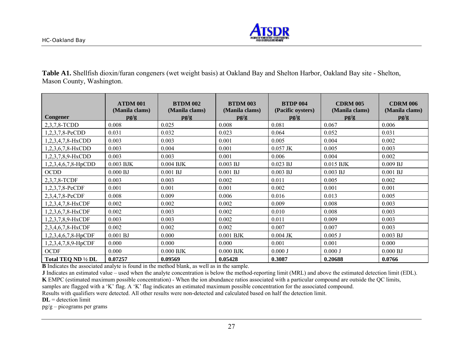

**Table A1.** Shellfish dioxin/furan congeners (wet weight basis) at Oakland Bay and Shelton Harbor, Oakland Bay site - Shelton, Mason County, Washington.

|                        | <b>ATDM 001</b><br>(Manila clams) | <b>BTDM 002</b><br>(Manila clams) | <b>BTDM 003</b><br>(Manila clams) | <b>BTDP 004</b><br>(Pacific oysters) | <b>CDRM 005</b><br>(Manila clams) | <b>CDRM 006</b><br>(Manila clams) |
|------------------------|-----------------------------------|-----------------------------------|-----------------------------------|--------------------------------------|-----------------------------------|-----------------------------------|
| <b>Congener</b>        | pg/g                              | pg/g                              | pg/g                              | pg/g                                 | pg/g                              | pg/g                              |
| 2,3,7,8-TCDD           | 0.008                             | 0.025                             | 0.008                             | 0.081                                | 0.067                             | 0.006                             |
| $1,2,3,7,8$ -PeCDD     | 0.031                             | 0.032                             | 0.023                             | 0.064                                | 0.052                             | 0.031                             |
| 1,2,3,4,7,8-HxCDD      | 0.003                             | 0.003                             | 0.001                             | 0.005                                | 0.004                             | 0.002                             |
| 1,2,3,6,7,8-HxCDD      | 0.003                             | 0.004                             | 0.001                             | $0.057$ JK                           | 0.005                             | 0.003                             |
| 1,2,3,7,8,9-HxCDD      | 0.003                             | 0.003                             | 0.001                             | 0.006                                | 0.004                             | 0.002                             |
| 1,2,3,4,6,7,8-HpCDD    | $0.003$ BJK                       | $0.004$ BJK                       | $0.003$ BJ                        | $0.023$ BJ                           | $0.015$ BJK                       | 0.009 BJ                          |
| <b>OCDD</b>            | 0.000 BJ                          | $0.001$ BJ                        | $0.001$ BJ                        | $0.003$ BJ                           | $0.003$ BJ                        | $0.001$ BJ                        |
| 2,3,7,8-TCDF           | 0.003                             | 0.003                             | 0.002                             | 0.011                                | 0.005                             | 0.002                             |
| 1,2,3,7,8-PeCDF        | 0.001                             | 0.001                             | 0.001                             | 0.002                                | 0.001                             | 0.001                             |
| 2,3,4,7,8-PeCDF        | 0.008                             | 0.009                             | 0.006                             | 0.016                                | 0.013                             | 0.005                             |
| 1,2,3,4,7,8-HxCDF      | 0.002                             | 0.002                             | 0.002                             | 0.009                                | 0.008                             | 0.003                             |
| 1,2,3,6,7,8-HxCDF      | 0.002                             | 0.003                             | 0.002                             | 0.010                                | 0.008                             | 0.003                             |
| 1,2,3,7,8,9-HxCDF      | 0.003                             | 0.003                             | 0.002                             | 0.011                                | 0.009                             | 0.003                             |
| 2,3,4,6,7,8-HxCDF      | 0.002                             | 0.002                             | 0.002                             | 0.007                                | 0.007                             | 0.003                             |
| $1,2,3,4,6,7,8$ -HpCDF | 0.001 BJ                          | 0.000                             | $0.001$ BJK                       | $0.004$ JK                           | $0.005$ J                         | $0.003$ BJ                        |
| 1,2,3,4,7,8,9-HpCDF    | 0.000                             | 0.000                             | 0.000                             | 0.001                                | 0.001                             | 0.000                             |
| <b>OCDF</b>            | 0.000                             | $0.000$ BJK                       | $0.000$ BJK                       | 0.000J                               | 0.000J                            | 0.000 BJ                          |
| Total TEQ ND 1/2 DL    | 0.07257                           | 0.09569                           | 0.05428                           | 0.3087                               | 0.20688                           | 0.0766                            |

**B** Indicates the associated analyte is found in the method blank, as well as in the sample.

**J** Indicates an estimated value – used when the analyte concentration is below the method-reporting limit (MRL) and above the estimated detection limit (EDL). **K** EMPC (estimated maximum possible concentration) - When the ion abundance ratios associated with a particular compound are outside the QC limits,

samples are flagged with a 'K' flag. A 'K' flag indicates an estimated maximum possible concentration for the associated compound.

Results with qualifiers were detected. All other results were non-detected and calculated based on half the detection limit.

**DL** = detection limit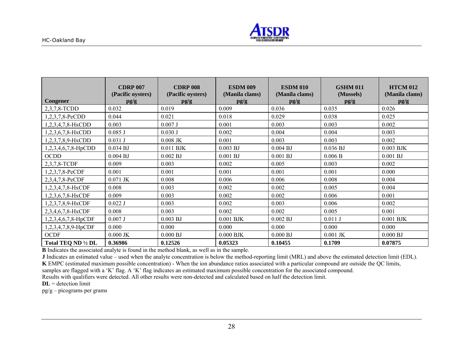

|                        | <b>CDRP 007</b>           | <b>CDRP 008</b>           | <b>ESDM 009</b>        | <b>ESDM 010</b>        | <b>GSHM 011</b>   | <b>HTCM 012</b>        |
|------------------------|---------------------------|---------------------------|------------------------|------------------------|-------------------|------------------------|
| Congener               | (Pacific oysters)<br>pg/g | (Pacific oysters)<br>pg/g | (Manila clams)<br>pg/g | (Manila clams)<br>pg/g | (Mussels)<br>pg/g | (Manila clams)<br>pg/g |
| 2,3,7,8-TCDD           | 0.032                     | 0.019                     | 0.009                  | 0.036                  | 0.035             | 0.026                  |
| 1,2,3,7,8-PeCDD        | 0.044                     | 0.021                     | 0.018                  | 0.029                  | 0.038             | 0.025                  |
| 1,2,3,4,7,8-HxCDD      | 0.003                     | $0.007$ J                 | 0.001                  | 0.003                  | 0.003             | 0.002                  |
| 1,2,3,6,7,8-HxCDD      | $0.085$ J                 | 0.030J                    | 0.002                  | 0.004                  | 0.004             | 0.003                  |
| 1,2,3,7,8,9-HxCDD      | 0.031 J                   | $0.008$ JK                | 0.001                  | 0.003                  | 0.003             | 0.002                  |
| 1,2,3,4,6,7,8-HpCDD    | 0.034 BJ                  | $0.011$ BJK               | $0.003$ BJ             | 0.004 BJ               | 0.036 BJ          | $0.003$ BJK            |
| <b>OCDD</b>            | 0.004 BJ                  | $0.002$ BJ                | $0.001$ BJ             | $0.001$ BJ             | 0.006 B           | $0.001$ BJ             |
| 2,3,7,8-TCDF           | 0.009                     | 0.003                     | 0.002                  | 0.005                  | 0.003             | 0.002                  |
| 1,2,3,7,8-PeCDF        | 0.001                     | 0.001                     | 0.001                  | 0.001                  | 0.001             | 0.000                  |
| 2,3,4,7,8-PeCDF        | $0.071$ JK                | 0.008                     | 0.006                  | 0.006                  | 0.008             | 0.004                  |
| 1,2,3,4,7,8-HxCDF      | 0.008                     | 0.003                     | 0.002                  | 0.002                  | 0.005             | 0.004                  |
| 1,2,3,6,7,8-HxCDF      | 0.009                     | 0.003                     | 0.002                  | 0.002                  | 0.006             | 0.001                  |
| 1,2,3,7,8,9-HxCDF      | $0.022$ J                 | 0.003                     | 0.002                  | 0.003                  | 0.006             | 0.002                  |
| 2,3,4,6,7,8-HxCDF      | 0.008                     | 0.003                     | 0.002                  | 0.002                  | 0.005             | 0.001                  |
| $1,2,3,4,6,7,8$ -HpCDF | $0.007$ J                 | 0.003 BJ                  | $0.001$ BJK            | 0.002 BJ               | $0.011$ J         | $0.001$ BJK            |
| 1,2,3,4,7,8,9-HpCDF    | 0.000                     | 0.000                     | 0.000                  | 0.000                  | 0.000             | 0.000                  |
| <b>OCDF</b>            | $0.000$ JK                | 0.000 BJ                  | $0.000$ BJK            | 0.000BJ                | $0.001$ JK        | 0.000 BJ               |
| Total TEO ND 1/2 DL    | 0.36986                   | 0.12526                   | 0.05323                | 0.10455                | 0.1709            | 0.07875                |

**B** Indicates the associated analyte is found in the method blank, as well as in the sample.

**J** Indicates an estimated value – used when the analyte concentration is below the method-reporting limit (MRL) and above the estimated detection limit (EDL). **K** EMPC (estimated maximum possible concentration) - When the ion abundance ratios associated with a particular compound are outside the QC limits,

samples are flagged with a 'K' flag. A 'K' flag indicates an estimated maximum possible concentration for the associated compound.

Results with qualifiers were detected. All other results were non-detected and calculated based on half the detection limit.

**DL** = detection limit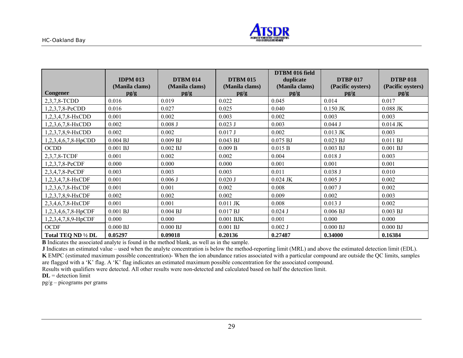

|                     | <b>IDPM 013</b> | <b>DTBM 014</b> | <b>DTBM 015</b> | DTBM 016 field<br>duplicate | <b>DTBP 017</b>   | <b>DTBP 018</b>   |
|---------------------|-----------------|-----------------|-----------------|-----------------------------|-------------------|-------------------|
|                     | (Manila clams)  | (Manila clams)  | (Manila clams)  | (Manila clams)              | (Pacific oysters) | (Pacific oysters) |
| Congener            | pg/g            | pg/g            | pg/g            | pg/g                        | pg/g              | pg/g              |
| 2,3,7,8-TCDD        | 0.016           | 0.019           | 0.022           | 0.045                       | 0.014             | 0.017             |
| 1,2,3,7,8-PeCDD     | 0.016           | 0.027           | 0.025           | 0.040                       | $0.150$ JK        | $0.088$ JK        |
| 1,2,3,4,7,8-HxCDD   | 0.001           | 0.002           | 0.003           | 0.002                       | 0.003             | 0.003             |
| 1,2,3,6,7,8-HxCDD   | 0.002           | 0.008J          | $0.023$ J       | 0.003                       | 0.044J            | $0.014$ JK        |
| 1,2,3,7,8,9-HxCDD   | 0.002           | 0.002           | 0.017 J         | 0.002                       | $0.013$ JK        | 0.003             |
| 1,2,3,4,6,7,8-HpCDD | $0.004$ BJ      | 0.009 BJ        | $0.043$ BJ      | 0.075 BJ                    | $0.023$ BJ        | 0.011 BJ          |
| <b>OCDD</b>         | $0.001$ BJ      | 0.002 BJ        | 0.009 B         | 0.015 B                     | $0.003$ BJ        | $0.001$ BJ        |
| 2,3,7,8-TCDF        | 0.001           | 0.002           | 0.002           | 0.004                       | $0.018$ J         | 0.003             |
| 1,2,3,7,8-PeCDF     | 0.000           | 0.000           | 0.000           | 0.001                       | 0.001             | 0.001             |
| 2,3,4,7,8-PeCDF     | 0.003           | 0.003           | 0.003           | 0.011                       | 0.038J            | 0.010             |
| 1,2,3,4,7,8-HxCDF   | 0.001           | $0.006$ J       | 0.020 J         | $0.024$ JK                  | $0.005$ J         | 0.002             |
| 1,2,3,6,7,8-HxCDF   | 0.001           | 0.001           | 0.002           | 0.008                       | 0.007J            | 0.002             |
| 1,2,3,7,8,9-HxCDF   | 0.002           | 0.002           | 0.002           | 0.009                       | 0.002             | 0.003             |
| 2,3,4,6,7,8-HxCDF   | 0.001           | 0.001           | $0.011$ JK      | 0.008                       | $0.013$ J         | 0.002             |
| 1,2,3,4,6,7,8-HpCDF | $0.001$ BJ      | $0.004$ BJ      | 0.017 BJ        | $0.024$ J                   | 0.006 BJ          | $0.003$ BJ        |
| 1,2,3,4,7,8,9-HpCDF | 0.000           | 0.000           | $0.001$ BJK     | 0.001                       | 0.000             | 0.000             |
| <b>OCDF</b>         | 0.000 BJ        | 0.000 BJ        | $0.001$ BJ      | $0.002$ J                   | 0.000BJ           | 0.000 BJ          |
| Total TEQ ND 1/2 DL | 0.05297         | 0.09018         | 0.20136         | 0.27487                     | 0.34000           | 0.16384           |

**B** Indicates the associated analyte is found in the method blank, as well as in the sample.

**J** Indicates an estimated value – used when the analyte concentration is below the method-reporting limit (MRL) and above the estimated detection limit (EDL). **K** EMPC (estimated maximum possible concentration)- When the ion abundance ratios associated with a particular compound are outside the QC limits, samples are flagged with a 'K' flag. A 'K' flag indicates an estimated maximum possible concentration for the associated compound.

Results with qualifiers were detected. All other results were non-detected and calculated based on half the detection limit.

**DL** = detection limit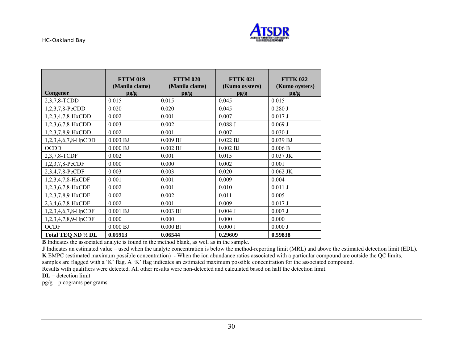

|                     | <b>FTTM 019</b><br>(Manila clams) | <b>FTTM 020</b><br>(Manila clams) | <b>FTTK 021</b><br>(Kumo oysters) | <b>FTTK 022</b><br>(Kumo oysters) |
|---------------------|-----------------------------------|-----------------------------------|-----------------------------------|-----------------------------------|
| Congener            | pg/g                              | pg/g                              | pg/g                              | pg/g                              |
| 2,3,7,8-TCDD        | 0.015                             | 0.015                             | 0.045                             | 0.015                             |
| 1,2,3,7,8-PeCDD     | 0.020                             | 0.020                             | 0.045                             | 0.280J                            |
| 1,2,3,4,7,8-HxCDD   | 0.002                             | 0.001                             | 0.007                             | 0.017 J                           |
| 1,2,3,6,7,8-HxCDD   | 0.003                             | 0.002                             | 0.088J                            | 0.069J                            |
| 1,2,3,7,8,9-HxCDD   | 0.002                             | 0.001                             | 0.007                             | 0.030J                            |
| 1,2,3,4,6,7,8-HpCDD | $0.003$ BJ                        | 0.009 BJ                          | $0.022$ BJ                        | 0.039 BJ                          |
| <b>OCDD</b>         | 0.000 BJ                          | $0.002$ BJ                        | 0.002 BJ                          | 0.006 B                           |
| 2,3,7,8-TCDF        | 0.002                             | 0.001                             | 0.015                             | $0.037$ JK                        |
| 1,2,3,7,8-PeCDF     | 0.000                             | 0.000                             | 0.002                             | 0.001                             |
| 2,3,4,7,8-PeCDF     | 0.003                             | 0.003                             | 0.020                             | $0.062$ JK                        |
| 1,2,3,4,7,8-HxCDF   | 0.001                             | 0.001                             | 0.009                             | 0.004                             |
| 1,2,3,6,7,8-HxCDF   | 0.002                             | 0.001                             | 0.010                             | $0.011$ J                         |
| 1,2,3,7,8,9-HxCDF   | 0.002                             | 0.002                             | 0.011                             | 0.005                             |
| 2,3,4,6,7,8-HxCDF   | 0.002                             | 0.001                             | 0.009                             | 0.017 J                           |
| 1,2,3,4,6,7,8-HpCDF | $0.001$ BJ                        | $0.003$ BJ                        | $0.004$ J                         | 0.007J                            |
| 1,2,3,4,7,8,9-HpCDF | 0.000                             | 0.000                             | 0.000                             | 0.000                             |
| <b>OCDF</b>         | 0.000 BJ                          | 0.000 BJ                          | 0.000J                            | 0.000 J                           |
| Total TEQ ND 1/2 DL | 0.05913                           | 0.06544                           | 0.29609                           | 0.59838                           |

**B** Indicates the associated analyte is found in the method blank, as well as in the sample.

**J** Indicates an estimated value – used when the analyte concentration is below the method-reporting limit (MRL) and above the estimated detection limit (EDL). **K** EMPC (estimated maximum possible concentration) - When the ion abundance ratios associated with a particular compound are outside the QC limits, samples are flagged with a 'K' flag. A 'K' flag indicates an estimated maximum possible concentration for the associated compound.

Results with qualifiers were detected. All other results were non-detected and calculated based on half the detection limit.

**DL** = detection limit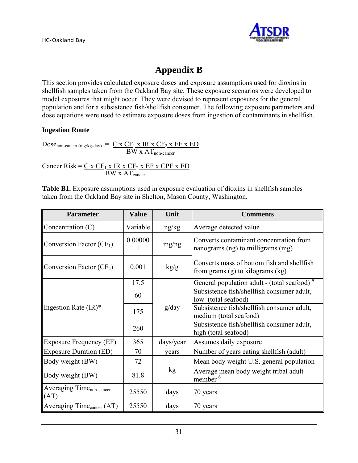

# **Appendix B**

This section provides calculated exposure doses and exposure assumptions used for dioxins in shellfish samples taken from the Oakland Bay site. These exposure scenarios were developed to model exposures that might occur. They were devised to represent exposures for the general population and for a subsistence fish/shellfish consumer. The following exposure parameters and dose equations were used to estimate exposure doses from ingestion of contaminants in shellfish.

#### **Ingestion Route**

$$
Dose_{non\text{-}cancer\,(mg/kg\text{-}day)} = \frac{C \times CF_1 \times IR \times CF_2 \times EF \times ED}{BW \times AT_{non\text{-}cancer}}
$$

Cancer Risk =  $C x CF_1 x IR x CF_2 x EF x CPF x ED$  $BW \times AT_{\text{cancer}}$ 

**Table B1.** Exposure assumptions used in exposure evaluation of dioxins in shellfish samples taken from the Oakland Bay site in Shelton, Mason County, Washington.

| <b>Parameter</b>                             | <b>Value</b> | Unit      | <b>Comments</b>                                                                    |  |  |  |
|----------------------------------------------|--------------|-----------|------------------------------------------------------------------------------------|--|--|--|
| Concentration $(C)$                          | Variable     | ng/kg     | Average detected value                                                             |  |  |  |
| Conversion Factor $(CF_1)$                   | 0.00000      | mg/ng     | Converts contaminant concentration from<br>nanograms (ng) to milligrams (mg)       |  |  |  |
| Conversion Factor $(CF_2)$                   | 0.001        | kg/g      | Converts mass of bottom fish and shellfish<br>from grams $(g)$ to kilograms $(kg)$ |  |  |  |
|                                              | 17.5         |           | General population adult - (total seafood) <sup>4</sup>                            |  |  |  |
|                                              | 60           | g/day     | Subsistence fish/shellfish consumer adult,                                         |  |  |  |
|                                              |              |           | low (total seafood)                                                                |  |  |  |
| Ingestion Rate $(IR)^*$                      | 175          |           | Subsistence fish/shellfish consumer adult,                                         |  |  |  |
|                                              |              |           | medium (total seafood)                                                             |  |  |  |
|                                              | 260          |           | Subsistence fish/shellfish consumer adult,<br>high (total seafood)                 |  |  |  |
| <b>Exposure Frequency (EF)</b>               | 365          | days/year | Assumes daily exposure                                                             |  |  |  |
| <b>Exposure Duration (ED)</b>                | 70           | vears     | Number of years eating shell fish (adult)                                          |  |  |  |
| Body weight (BW)                             | 72           |           | Mean body weight U.S. general population                                           |  |  |  |
| Body weight (BW)                             | 81.8         | kg        | Average mean body weight tribal adult<br>member <sup>6</sup>                       |  |  |  |
| Averaging Time <sub>non-cancer</sub><br>(AT) | 25550        | days      | 70 years                                                                           |  |  |  |
| Averaging Time <sub>cancer</sub> (AT)        | 25550        | days      | 70 years                                                                           |  |  |  |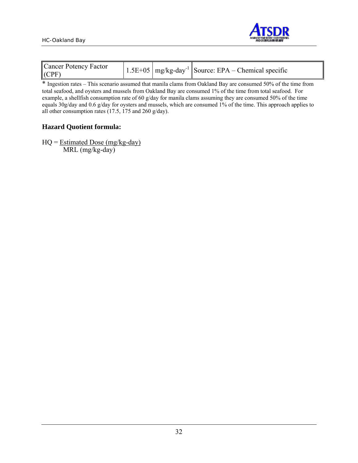

| Cancer Potency Factor<br>(CPF) |  |  | $\left  1.5E + 0.5 \right $ mg/kg-day <sup>-1</sup> Source: EPA – Chemical specific |
|--------------------------------|--|--|-------------------------------------------------------------------------------------|
|--------------------------------|--|--|-------------------------------------------------------------------------------------|

\* Ingestion rates – This scenario assumed that manila clams from Oakland Bay are consumed 50% of the time from total seafood, and oysters and mussels from Oakland Bay are consumed 1% of the time from total seafood. For example, a shellfish consumption rate of 60 g/day for manila clams assuming they are consumed 50% of the time equals 30g/day and 0.6 g/day for oysters and mussels, which are consumed 1% of the time. This approach applies to all other consumption rates (17.5, 175 and 260 g/day).

#### **Hazard Quotient formula:**

 $HQ = Estimated Does (mg/kg-day)$ MRL (mg/kg-day)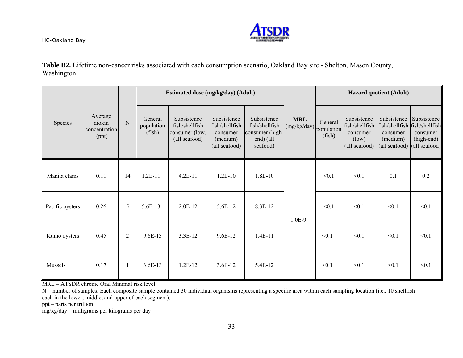

**Table B2.** Lifetime non-cancer risks associated with each consumption scenario, Oakland Bay site - Shelton, Mason County, Washington.

|                 |                                             |                | Estimated dose (mg/kg/day) (Adult) |                                                                  |                                                                        |                                                                           |                           | <b>Hazard quotient (Adult)</b>  |                                                                     |                                                                                                             |                                       |
|-----------------|---------------------------------------------|----------------|------------------------------------|------------------------------------------------------------------|------------------------------------------------------------------------|---------------------------------------------------------------------------|---------------------------|---------------------------------|---------------------------------------------------------------------|-------------------------------------------------------------------------------------------------------------|---------------------------------------|
| Species         | Average<br>dioxin<br>concentration<br>(ppt) | N              | General<br>population<br>(fish)    | Subsistence<br>fish/shellfish<br>consumer (low)<br>(all seafood) | Subsistence<br>fish/shellfish<br>consumer<br>(medium)<br>(all seafood) | Subsistence<br>fish/shellfish<br>consumer (high-<br>end) (all<br>seafood) | <b>MRL</b><br>(mg/kg/day) | General<br>population<br>(fish) | Subsistence<br>fish/shellfish<br>consumer<br>(low)<br>(all seafood) | Subsistence<br>fish/shellfish fish/shellfish<br>consumer<br>(medium)<br>(all seafood) $ $ (all seafood) $ $ | Subsistence<br>consumer<br>(high-end) |
| Manila clams    | 0.11                                        | 14             | $1.2E-11$                          | $4.2E-11$                                                        | $1.2E-10$                                                              | 1.8E-10                                                                   |                           | < 0.1                           | < 0.1                                                               | 0.1                                                                                                         | 0.2                                   |
| Pacific oysters | 0.26                                        | 5              | 5.6E-13                            | 2.0E-12                                                          | 5.6E-12                                                                | 8.3E-12                                                                   | 1.0E-9                    | < 0.1                           | < 0.1                                                               | < 0.1                                                                                                       | < 0.1                                 |
| Kumo oysters    | 0.45                                        | $\overline{2}$ | $9.6E-13$                          | 3.3E-12                                                          | $9.6E-12$                                                              | $1.4E-11$                                                                 |                           | < 0.1                           | < 0.1                                                               | < 0.1                                                                                                       | < 0.1                                 |
| Mussels         | 0.17                                        |                | $3.6E-13$                          | $1.2E-12$                                                        | $3.6E-12$                                                              | 5.4E-12                                                                   |                           | < 0.1                           | < 0.1                                                               | < 0.1                                                                                                       | < 0.1                                 |

MRL – ATSDR chronic Oral Minimal risk level

N = number of samples. Each composite sample contained 30 individual organisms representing a specific area within each sampling location (i.e., 10 shellfish each in the lower, middle, and upper of each segment).

ppt – parts per trillion

mg/kg/day – milligrams per kilograms per day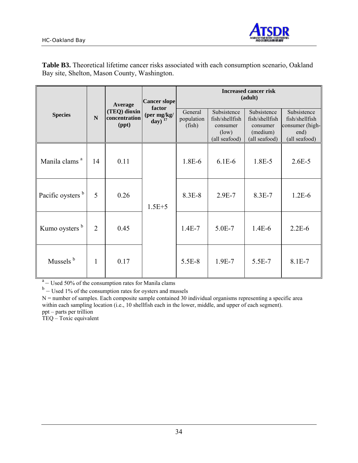

| <b>Species</b>            | $\mathbf N$    | Average<br>(TEQ) dioxin<br>concentration<br>(ppt) | <b>Cancer slope</b><br>factor<br>(per mg/kg/<br>day) $17$ | <b>Increased cancer risk</b><br>(adult) |                                                                     |                                                                        |                                                                           |  |  |
|---------------------------|----------------|---------------------------------------------------|-----------------------------------------------------------|-----------------------------------------|---------------------------------------------------------------------|------------------------------------------------------------------------|---------------------------------------------------------------------------|--|--|
|                           |                |                                                   |                                                           | General<br>population<br>(fish)         | Subsistence<br>fish/shellfish<br>consumer<br>(low)<br>(all seafood) | Subsistence<br>fish/shellfish<br>consumer<br>(medium)<br>(all seafood) | Subsistence<br>fish/shellfish<br>consumer (high-<br>end)<br>(all seafood) |  |  |
| Manila clams <sup>a</sup> | 14             | 0.11                                              |                                                           | 1.8E-6                                  | $6.1E-6$                                                            | 1.8E-5                                                                 | $2.6E - 5$                                                                |  |  |
| Pacific oysters b         | 5              | 0.26                                              | $1.5E + 5$                                                | $8.3E-8$                                | $2.9E - 7$                                                          | $8.3E-7$                                                               | $1.2E-6$                                                                  |  |  |
| Kumo oysters <sup>b</sup> | $\overline{2}$ | 0.45                                              |                                                           | $1.4E-7$                                | $5.0E - 7$                                                          | $1.4E-6$                                                               | $2.2E - 6$                                                                |  |  |
| Mussels <sup>b</sup>      | 1              | 0.17                                              |                                                           | 5.5E-8                                  | $1.9E-7$                                                            | 5.5E-7                                                                 | 8.1E-7                                                                    |  |  |

**Table B3.** Theoretical lifetime cancer risks associated with each consumption scenario, Oakland Bay site, Shelton, Mason County, Washington.

 $a<sup>a</sup>$  – Used 50% of the consumption rates for Manila clams

 $b$  – Used 1% of the consumption rates for oysters and mussels

 $N$  = number of samples. Each composite sample contained 30 individual organisms representing a specific area within each sampling location (i.e., 10 shellfish each in the lower, middle, and upper of each segment). ppt – parts per trillion

TEQ – Toxic equivalent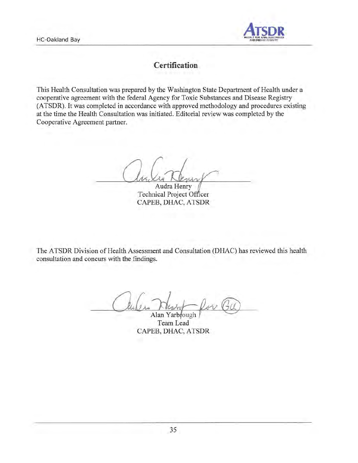

# Certification

This Health Consultation was prepared by the Washington State Department of Health under a cooperative agreement with the federal Agency for Toxic Substances and Disease Registry (ATSDR). It was completed in accordance with approved methodology and procedures existing at the time the Health Consultation was initiated. Editorial review was completed by the Cooperative Agreement partner.

Audra Henry **Technical Project Officer** CAPEB, DHAC, ATSDR

The ATSDR Division of Health Assessment and Consultation (DHAC) has reviewed this health consultation and concurs with the findings.

Alan Yarbrough Team Lead CAPEB, DHAC, ATSDR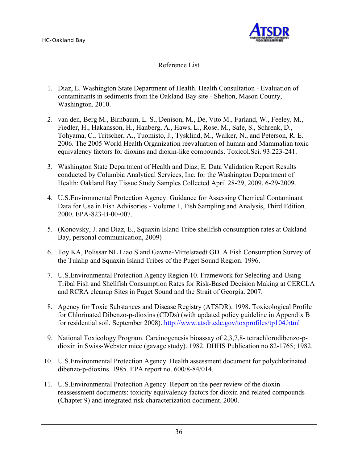

#### Reference List

- 1. Diaz, E. Washington State Department of Health. Health Consultation Evaluation of contaminants in sediments from the Oakland Bay site - Shelton, Mason County, Washington. 2010.
- 2. van den, Berg M., Birnbaum, L. S., Denison, M., De, Vito M., Farland, W., Feeley, M., Fiedler, H., Hakansson, H., Hanberg, A., Haws, L., Rose, M., Safe, S., Schrenk, D., Tohyama, C., Tritscher, A., Tuomisto, J., Tysklind, M., Walker, N., and Peterson, R. E. 2006. The 2005 World Health Organization reevaluation of human and Mammalian toxic equivalency factors for dioxins and dioxin-like compounds. Toxicol.Sci. 93:223-241.
- 3. Washington State Department of Health and Diaz, E. Data Validation Report Results conducted by Columbia Analytical Services, Inc. for the Washington Department of Health: Oakland Bay Tissue Study Samples Collected April 28-29, 2009. 6-29-2009.
- 4. U.S.Environmental Protection Agency. Guidance for Assessing Chemical Contaminant Data for Use in Fish Advisories - Volume 1, Fish Sampling and Analysis, Third Edition. 2000. EPA-823-B-00-007.
- 5. (Konovsky, J. and Diaz, E., Squaxin Island Tribe shellfish consumption rates at Oakland Bay, personal communication, 2009)
- 6. Toy KA, Polissar NL Liao S and Gawne-Mittelstaedt GD. A Fish Consumption Survey of the Tulalip and Squaxin Island Tribes of the Puget Sound Region. 1996.
- 7. U.S.Environmental Protection Agency Region 10. Framework for Selecting and Using Tribal Fish and Shellfish Consumption Rates for Risk-Based Decision Making at CERCLA and RCRA cleanup Sites in Puget Sound and the Strait of Georgia. 2007.
- 8. Agency for Toxic Substances and Disease Registry (ATSDR). 1998. Toxicological Profile for Chlorinated Dibenzo-p-dioxins (CDDs) (with updated policy guideline in Appendix B for residential soil, September 2008). http://www.atsdr.cdc.gov/toxprofiles/tp104.html
- 9. National Toxicology Program. Carcinogenesis bioassay of 2,3,7,8- tetrachlorodibenzo-pdioxin in Swiss-Webster mice (gavage study). 1982. DHHS Publication no 82-1765; 1982.
- 10. U.S.Environmental Protection Agency. Health assessment document for polychlorinated dibenzo-p-dioxins. 1985. EPA report no. 600/8-84/014.
- 11. U.S.Environmental Protection Agency. Report on the peer review of the dioxin reassessment documents: toxicity equivalency factors for dioxin and related compounds (Chapter 9) and integrated risk characterization document. 2000.